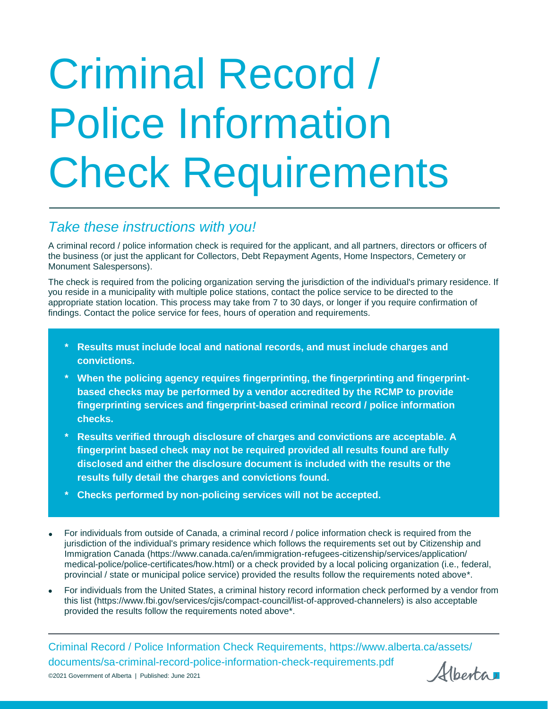# Criminal Record / Police Information Check Requirements

## *Take these instructions with you!*

A criminal record / police information check is required for the applicant, and all partners, directors or officers of the business (or just the applicant for Collectors, Debt Repayment Agents, Home Inspectors, Cemetery or Monument Salespersons).

The check is required from the policing organization serving the jurisdiction of the individual's primary residence. If you reside in a municipality with multiple police stations, contact the police service to be directed to the appropriate station location. This process may take from 7 to 30 days, or longer if you require confirmation of findings. Contact the police service for fees, hours of operation and requirements.

- **\* Results must include local and national records, and must include charges and convictions.**
- **\* When the policing agency requires fingerprinting, the fingerprinting and fingerprintbased checks may be performed by a vendor accredited by the RCMP to provide fingerprinting services and fingerprint-based criminal record / police information checks.**
- **\* Results verified through disclosure of charges and convictions are acceptable. A fingerprint based check may not be required provided all results found are fully disclosed and either the disclosure document is included with the results or the results fully detail the charges and convictions found.**
- **\* Checks performed by non-policing services will not be accepted.**
- For individuals from outside of Canada, a criminal record / police information check is required from the jurisdiction of the individual's primary residence which follows the requirements set out by Citizenship and Immigration Canada (https://www.canada.ca/en/immigration-refugees-citizenship/services/application/ medical-police/police-certificates/how.html) or a check provided by a local policing organization (i.e., federal, provincial / state or municipal police service) provided the results follow the requirements noted above\*.
- For individuals from the United States, a criminal history record information check performed by a vendor from this list (https://www.fbi.gov/services/cjis/compact-council/list-of-approved-channelers) is also acceptable provided the results follow the requirements noted above\*.

Criminal Record / Police Information Check Requirements, https://www.alberta.ca/assets/ documents/sa-criminal-record-police-information-check-requirements.pdf

Alberta 1